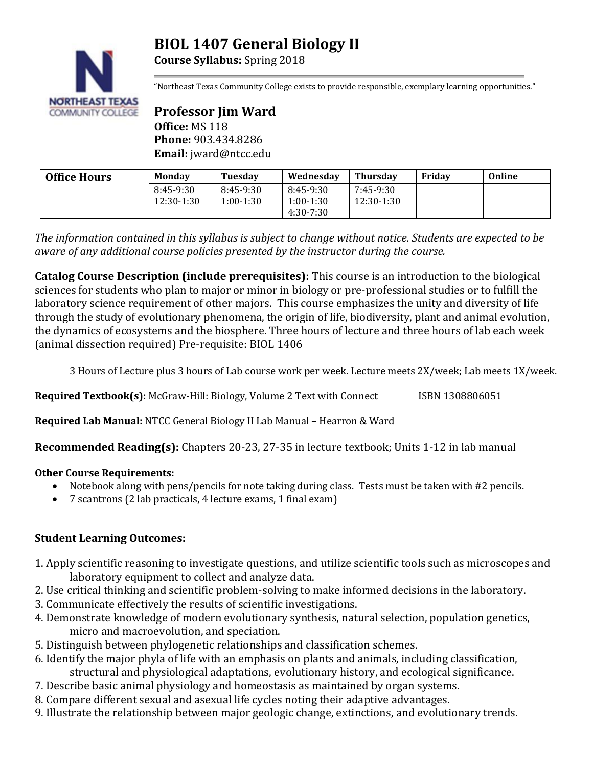# **BIOL 1407 General Biology II**





"Northeast Texas Community College exists to provide responsible, exemplary learning opportunities."

**Professor Jim Ward Office:** MS 118 **Phone:** 903.434.8286 **Email:** jward@ntcc.edu

| <b>Office Hours</b> | Monday                  | Tuesday                  | Wednesday                                 | Thursdav                | Fridav | Online |
|---------------------|-------------------------|--------------------------|-------------------------------------------|-------------------------|--------|--------|
|                     | 8:45-9:30<br>12:30-1:30 | 8:45-9:30<br>$1:00-1:30$ | 8:45-9:30<br>$1:00-1:30$<br>$4:30 - 7:30$ | 7:45-9:30<br>12:30-1:30 |        |        |

*The information contained in this syllabus is subject to change without notice. Students are expected to be aware of any additional course policies presented by the instructor during the course.*

**Catalog Course Description (include prerequisites):** This course is an introduction to the biological sciences for students who plan to major or minor in biology or pre-professional studies or to fulfill the laboratory science requirement of other majors. This course emphasizes the unity and diversity of life through the study of evolutionary phenomena, the origin of life, biodiversity, plant and animal evolution, the dynamics of ecosystems and the biosphere. Three hours of lecture and three hours of lab each week (animal dissection required) Pre-requisite: BIOL 1406

3 Hours of Lecture plus 3 hours of Lab course work per week. Lecture meets 2X/week; Lab meets 1X/week.

**Required Textbook(s):** McGraw-Hill: Biology, Volume 2 Text with Connect ISBN 1308806051

**Required Lab Manual:** NTCC General Biology II Lab Manual – Hearron & Ward

**Recommended Reading(s):** Chapters 20-23, 27-35 in lecture textbook; Units 1-12 in lab manual

# **Other Course Requirements:**

- Notebook along with pens/pencils for note taking during class. Tests must be taken with #2 pencils.
- 7 scantrons (2 lab practicals, 4 lecture exams, 1 final exam)

# **Student Learning Outcomes:**

- 1. Apply scientific reasoning to investigate questions, and utilize scientific tools such as microscopes and laboratory equipment to collect and analyze data.
- 2. Use critical thinking and scientific problem-solving to make informed decisions in the laboratory.
- 3. Communicate effectively the results of scientific investigations.
- 4. Demonstrate knowledge of modern evolutionary synthesis, natural selection, population genetics, micro and macroevolution, and speciation.
- 5. Distinguish between phylogenetic relationships and classification schemes.
- 6. Identify the major phyla of life with an emphasis on plants and animals, including classification, structural and physiological adaptations, evolutionary history, and ecological significance.
- 7. Describe basic animal physiology and homeostasis as maintained by organ systems.
- 8. Compare different sexual and asexual life cycles noting their adaptive advantages.
- 9. Illustrate the relationship between major geologic change, extinctions, and evolutionary trends.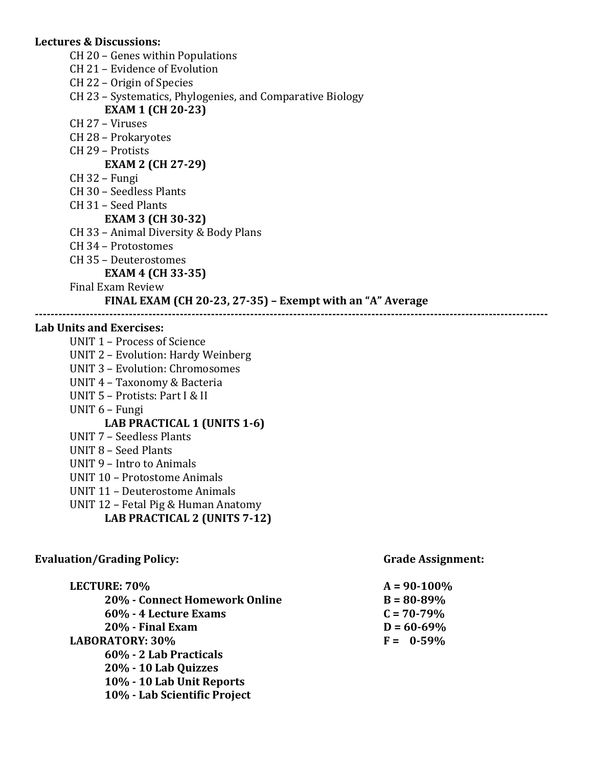#### **Lectures & Discussions:**

- CH 20 Genes within Populations
- CH 21 Evidence of Evolution
- CH 22 Origin of Species
- CH 23 Systematics, Phylogenies, and Comparative Biology

# **EXAM 1 (CH 20-23)**

- CH 27 Viruses
- CH 28 Prokaryotes
- CH 29 Protists

# **EXAM 2 (CH 27-29)**

- CH 32 Fungi
- CH 30 Seedless Plants
- CH 31 Seed Plants
	- **EXAM 3 (CH 30-32)**
- CH 33 Animal Diversity & Body Plans
- CH 34 Protostomes
- CH 35 Deuterostomes

#### **EXAM 4 (CH 33-35)**

Final Exam Review

## **FINAL EXAM (CH 20-23, 27-35) – Exempt with an "A" Average**

**-----------------------------------------------------------------------------------------------------------------------------------**

#### **Lab Units and Exercises:**

UNIT 1 – Process of Science UNIT 2 – Evolution: Hardy Weinberg UNIT 3 – Evolution: Chromosomes UNIT 4 – Taxonomy & Bacteria UNIT 5 – Protists: Part I & II UNIT 6 – Fungi **LAB PRACTICAL 1 (UNITS 1-6)** UNIT 7 – Seedless Plants UNIT 8 – Seed Plants UNIT 9 – Intro to Animals UNIT 10 – Protostome Animals UNIT 11 – Deuterostome Animals UNIT 12 – Fetal Pig & Human Anatomy

# **LAB PRACTICAL 2 (UNITS 7-12)**

| <b>Evaluation/Grading Policy:</b> | <b>Grade Assignment:</b> |  |  |
|-----------------------------------|--------------------------|--|--|
| LECTURE: 70%                      | $A = 90 - 100\%$         |  |  |
| 20% - Connect Homework Online     | $B = 80 - 89\%$          |  |  |
| 60% - 4 Lecture Exams             | $C = 70 - 79\%$          |  |  |
| 20% - Final Exam                  | $D = 60 - 69\%$          |  |  |
| <b>LABORATORY: 30%</b>            | $F = 0.59\%$             |  |  |
| 60% - 2 Lab Practicals            |                          |  |  |
| 20% - 10 Lab Quizzes              |                          |  |  |
| 10% - 10 Lab Unit Reports         |                          |  |  |
| 10% - Lab Scientific Project      |                          |  |  |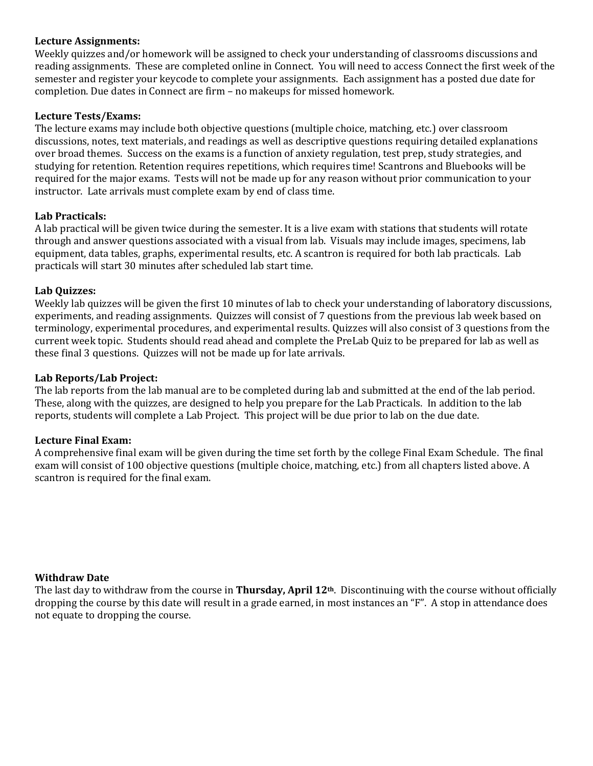#### **Lecture Assignments:**

Weekly quizzes and/or homework will be assigned to check your understanding of classrooms discussions and reading assignments. These are completed online in Connect. You will need to access Connect the first week of the semester and register your keycode to complete your assignments. Each assignment has a posted due date for completion. Due dates in Connect are firm – no makeups for missed homework.

#### **Lecture Tests/Exams:**

The lecture exams may include both objective questions (multiple choice, matching, etc.) over classroom discussions, notes, text materials, and readings as well as descriptive questions requiring detailed explanations over broad themes. Success on the exams is a function of anxiety regulation, test prep, study strategies, and studying for retention. Retention requires repetitions, which requires time! Scantrons and Bluebooks will be required for the major exams. Tests will not be made up for any reason without prior communication to your instructor. Late arrivals must complete exam by end of class time.

#### **Lab Practicals:**

A lab practical will be given twice during the semester. It is a live exam with stations that students will rotate through and answer questions associated with a visual from lab. Visuals may include images, specimens, lab equipment, data tables, graphs, experimental results, etc. A scantron is required for both lab practicals. Lab practicals will start 30 minutes after scheduled lab start time.

#### **Lab Quizzes:**

Weekly lab quizzes will be given the first 10 minutes of lab to check your understanding of laboratory discussions, experiments, and reading assignments. Quizzes will consist of 7 questions from the previous lab week based on terminology, experimental procedures, and experimental results. Quizzes will also consist of 3 questions from the current week topic. Students should read ahead and complete the PreLab Quiz to be prepared for lab as well as these final 3 questions. Quizzes will not be made up for late arrivals.

#### **Lab Reports/Lab Project:**

The lab reports from the lab manual are to be completed during lab and submitted at the end of the lab period. These, along with the quizzes, are designed to help you prepare for the Lab Practicals. In addition to the lab reports, students will complete a Lab Project. This project will be due prior to lab on the due date.

#### **Lecture Final Exam:**

A comprehensive final exam will be given during the time set forth by the college Final Exam Schedule. The final exam will consist of 100 objective questions (multiple choice, matching, etc.) from all chapters listed above. A scantron is required for the final exam.

#### **Withdraw Date**

The last day to withdraw from the course in **Thursday, April 12th**. Discontinuing with the course without officially dropping the course by this date will result in a grade earned, in most instances an "F". A stop in attendance does not equate to dropping the course.